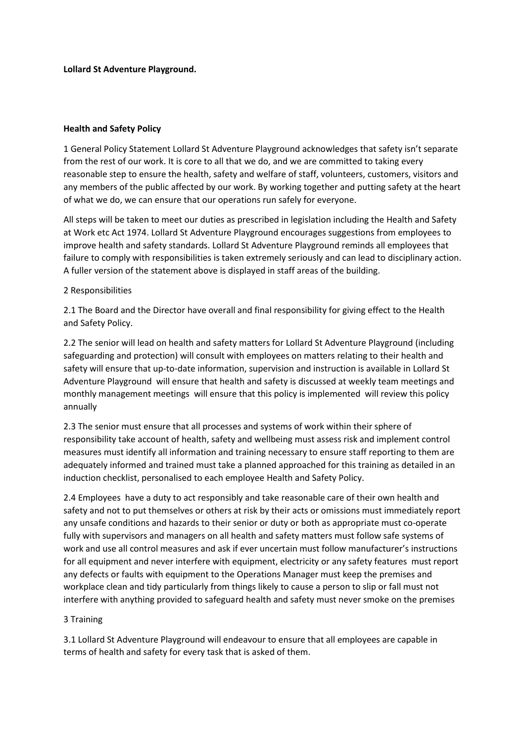**Lollard St Adventure Playground.**

### **Health and Safety Policy**

1 General Policy Statement Lollard St Adventure Playground acknowledges that safety isn't separate from the rest of our work. It is core to all that we do, and we are committed to taking every reasonable step to ensure the health, safety and welfare of staff, volunteers, customers, visitors and any members of the public affected by our work. By working together and putting safety at the heart of what we do, we can ensure that our operations run safely for everyone.

All steps will be taken to meet our duties as prescribed in legislation including the Health and Safety at Work etc Act 1974. Lollard St Adventure Playground encourages suggestions from employees to improve health and safety standards. Lollard St Adventure Playground reminds all employees that failure to comply with responsibilities is taken extremely seriously and can lead to disciplinary action. A fuller version of the statement above is displayed in staff areas of the building.

## 2 Responsibilities

2.1 The Board and the Director have overall and final responsibility for giving effect to the Health and Safety Policy.

2.2 The senior will lead on health and safety matters for Lollard St Adventure Playground (including safeguarding and protection) will consult with employees on matters relating to their health and safety will ensure that up-to-date information, supervision and instruction is available in Lollard St Adventure Playground will ensure that health and safety is discussed at weekly team meetings and monthly management meetings will ensure that this policy is implemented will review this policy annually

2.3 The senior must ensure that all processes and systems of work within their sphere of responsibility take account of health, safety and wellbeing must assess risk and implement control measures must identify all information and training necessary to ensure staff reporting to them are adequately informed and trained must take a planned approached for this training as detailed in an induction checklist, personalised to each employee Health and Safety Policy.

2.4 Employees have a duty to act responsibly and take reasonable care of their own health and safety and not to put themselves or others at risk by their acts or omissions must immediately report any unsafe conditions and hazards to their senior or duty or both as appropriate must co-operate fully with supervisors and managers on all health and safety matters must follow safe systems of work and use all control measures and ask if ever uncertain must follow manufacturer's instructions for all equipment and never interfere with equipment, electricity or any safety features must report any defects or faults with equipment to the Operations Manager must keep the premises and workplace clean and tidy particularly from things likely to cause a person to slip or fall must not interfere with anything provided to safeguard health and safety must never smoke on the premises

#### 3 Training

3.1 Lollard St Adventure Playground will endeavour to ensure that all employees are capable in terms of health and safety for every task that is asked of them.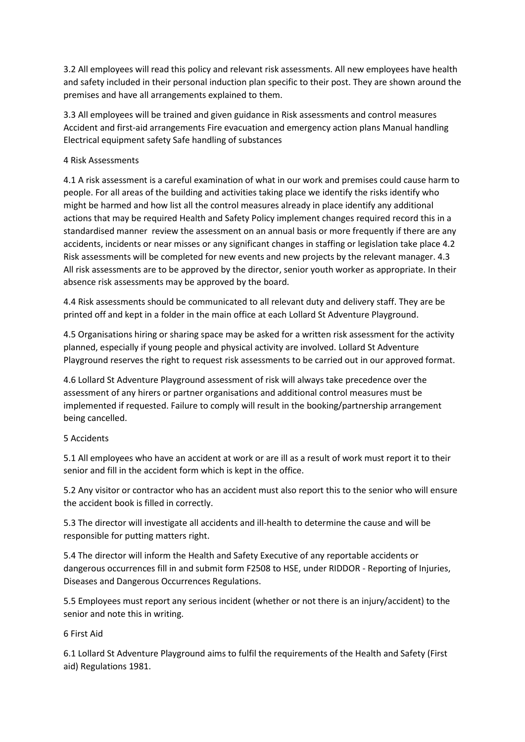3.2 All employees will read this policy and relevant risk assessments. All new employees have health and safety included in their personal induction plan specific to their post. They are shown around the premises and have all arrangements explained to them.

3.3 All employees will be trained and given guidance in Risk assessments and control measures Accident and first-aid arrangements Fire evacuation and emergency action plans Manual handling Electrical equipment safety Safe handling of substances

## 4 Risk Assessments

4.1 A risk assessment is a careful examination of what in our work and premises could cause harm to people. For all areas of the building and activities taking place we identify the risks identify who might be harmed and how list all the control measures already in place identify any additional actions that may be required Health and Safety Policy implement changes required record this in a standardised manner review the assessment on an annual basis or more frequently if there are any accidents, incidents or near misses or any significant changes in staffing or legislation take place 4.2 Risk assessments will be completed for new events and new projects by the relevant manager. 4.3 All risk assessments are to be approved by the director, senior youth worker as appropriate. In their absence risk assessments may be approved by the board.

4.4 Risk assessments should be communicated to all relevant duty and delivery staff. They are be printed off and kept in a folder in the main office at each Lollard St Adventure Playground.

4.5 Organisations hiring or sharing space may be asked for a written risk assessment for the activity planned, especially if young people and physical activity are involved. Lollard St Adventure Playground reserves the right to request risk assessments to be carried out in our approved format.

4.6 Lollard St Adventure Playground assessment of risk will always take precedence over the assessment of any hirers or partner organisations and additional control measures must be implemented if requested. Failure to comply will result in the booking/partnership arrangement being cancelled.

# 5 Accidents

5.1 All employees who have an accident at work or are ill as a result of work must report it to their senior and fill in the accident form which is kept in the office.

5.2 Any visitor or contractor who has an accident must also report this to the senior who will ensure the accident book is filled in correctly.

5.3 The director will investigate all accidents and ill-health to determine the cause and will be responsible for putting matters right.

5.4 The director will inform the Health and Safety Executive of any reportable accidents or dangerous occurrences fill in and submit form F2508 to HSE, under RIDDOR - Reporting of Injuries, Diseases and Dangerous Occurrences Regulations.

5.5 Employees must report any serious incident (whether or not there is an injury/accident) to the senior and note this in writing.

# 6 First Aid

6.1 Lollard St Adventure Playground aims to fulfil the requirements of the Health and Safety (First aid) Regulations 1981.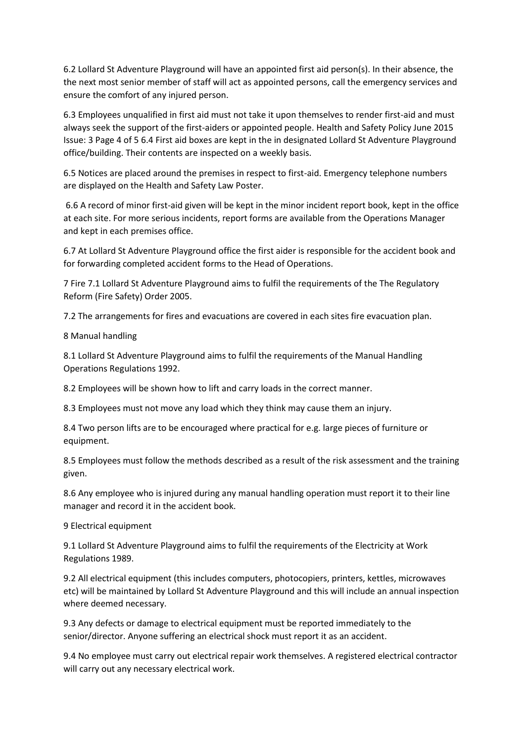6.2 Lollard St Adventure Playground will have an appointed first aid person(s). In their absence, the the next most senior member of staff will act as appointed persons, call the emergency services and ensure the comfort of any injured person.

6.3 Employees unqualified in first aid must not take it upon themselves to render first-aid and must always seek the support of the first-aiders or appointed people. Health and Safety Policy June 2015 Issue: 3 Page 4 of 5 6.4 First aid boxes are kept in the in designated Lollard St Adventure Playground office/building. Their contents are inspected on a weekly basis.

6.5 Notices are placed around the premises in respect to first-aid. Emergency telephone numbers are displayed on the Health and Safety Law Poster.

6.6 A record of minor first-aid given will be kept in the minor incident report book, kept in the office at each site. For more serious incidents, report forms are available from the Operations Manager and kept in each premises office.

6.7 At Lollard St Adventure Playground office the first aider is responsible for the accident book and for forwarding completed accident forms to the Head of Operations.

7 Fire 7.1 Lollard St Adventure Playground aims to fulfil the requirements of the The Regulatory Reform (Fire Safety) Order 2005.

7.2 The arrangements for fires and evacuations are covered in each sites fire evacuation plan.

8 Manual handling

8.1 Lollard St Adventure Playground aims to fulfil the requirements of the Manual Handling Operations Regulations 1992.

8.2 Employees will be shown how to lift and carry loads in the correct manner.

8.3 Employees must not move any load which they think may cause them an injury.

8.4 Two person lifts are to be encouraged where practical for e.g. large pieces of furniture or equipment.

8.5 Employees must follow the methods described as a result of the risk assessment and the training given.

8.6 Any employee who is injured during any manual handling operation must report it to their line manager and record it in the accident book.

9 Electrical equipment

9.1 Lollard St Adventure Playground aims to fulfil the requirements of the Electricity at Work Regulations 1989.

9.2 All electrical equipment (this includes computers, photocopiers, printers, kettles, microwaves etc) will be maintained by Lollard St Adventure Playground and this will include an annual inspection where deemed necessary.

9.3 Any defects or damage to electrical equipment must be reported immediately to the senior/director. Anyone suffering an electrical shock must report it as an accident.

9.4 No employee must carry out electrical repair work themselves. A registered electrical contractor will carry out any necessary electrical work.